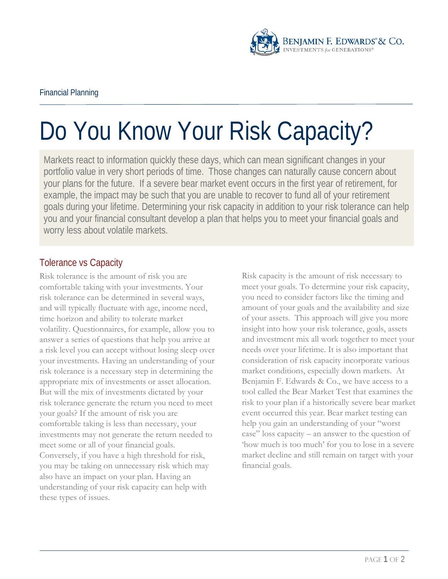

## Do You Know Your Risk Capacity?

Markets react to information quickly these days, which can mean significant changes in your portfolio value in very short periods of time. Those changes can naturally cause concern about your plans for the future. If a severe bear market event occurs in the first year of retirement, for example, the impact may be such that you are unable to recover to fund all of your retirement goals during your lifetime. Determining your risk capacity in addition to your risk tolerance can help you and your financial consultant develop a plan that helps you to meet your financial goals and worry less about volatile markets.

## Tolerance vs Capacity

Risk tolerance is the amount of risk you are comfortable taking with your investments. Your risk tolerance can be determined in several ways, and will typically fluctuate with age, income need, time horizon and ability to tolerate market volatility. Questionnaires, for example, allow you to answer a series of questions that help you arrive at a risk level you can accept without losing sleep over your investments. Having an understanding of your risk tolerance is a necessary step in determining the appropriate mix of investments or asset allocation. But will the mix of investments dictated by your risk tolerance generate the return you need to meet your goals? If the amount of risk you are comfortable taking is less than necessary, your investments may not generate the return needed to meet some or all of your financial goals. Conversely, if you have a high threshold for risk, you may be taking on unnecessary risk which may also have an impact on your plan. Having an understanding of your risk capacity can help with these types of issues.

Risk capacity is the amount of risk necessary to meet your goals. To determine your risk capacity, you need to consider factors like the timing and amount of your goals and the availability and size of your assets. This approach will give you more insight into how your risk tolerance, goals, assets and investment mix all work together to meet your needs over your lifetime. It is also important that consideration of risk capacity incorporate various market conditions, especially down markets. At Benjamin F. Edwards & Co., we have access to a tool called the Bear Market Test that examines the risk to your plan if a historically severe bear market event occurred this year. Bear market testing can help you gain an understanding of your "worst case" loss capacity – an answer to the question of 'how much is too much' for you to lose in a severe market decline and still remain on target with your financial goals.